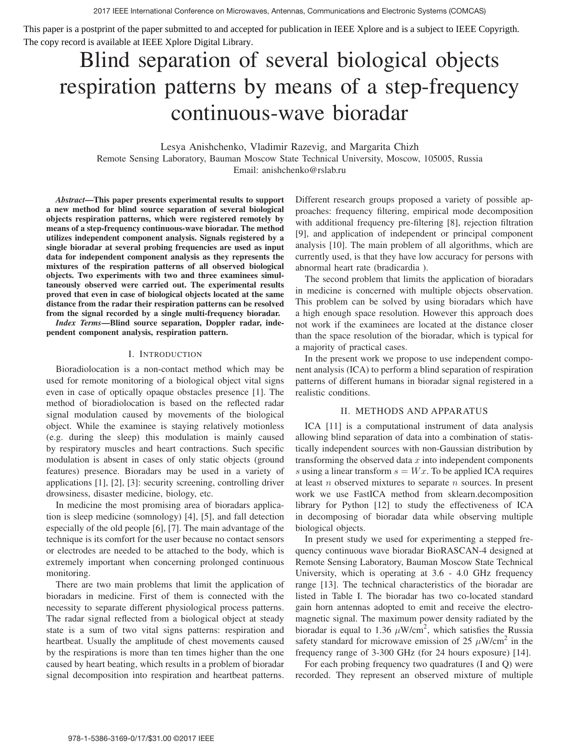This paper is a postprint of the paper submitted to and accepted for publication in IEEE Xplore and is a subject to IEEE Copyrigth. The copy record is available at IEEE Xplore Digital Library.

# Blind separation of several biological objects respiration patterns by means of a step-frequency continuous-wave bioradar

Lesya Anishchenko, Vladimir Razevig, and Margarita Chizh Remote Sensing Laboratory, Bauman Moscow State Technical University, Moscow, 105005, Russia Email: anishchenko@rslab.ru

*Abstract*—This paper presents experimental results to support a new method for blind source separation of several biological objects respiration patterns, which were registered remotely by means of a step-frequency continuous-wave bioradar. The method utilizes independent component analysis. Signals registered by a single bioradar at several probing frequencies are used as input data for independent component analysis as they represents the mixtures of the respiration patterns of all observed biological objects. Two experiments with two and three examinees simultaneously observed were carried out. The experimental results proved that even in case of biological objects located at the same distance from the radar their respiration patterns can be resolved from the signal recorded by a single multi-frequency bioradar.

*Index Terms*—Blind source separation, Doppler radar, independent component analysis, respiration pattern.

## I. INTRODUCTION

Bioradiolocation is a non-contact method which may be used for remote monitoring of a biological object vital signs even in case of optically opaque obstacles presence [1]. The method of bioradiolocation is based on the reflected radar signal modulation caused by movements of the biological object. While the examinee is staying relatively motionless (e.g. during the sleep) this modulation is mainly caused by respiratory muscles and heart contractions. Such specific modulation is absent in cases of only static objects (ground features) presence. Bioradars may be used in a variety of applications [1], [2], [3]: security screening, controlling driver drowsiness, disaster medicine, biology, etc.

In medicine the most promising area of bioradars application is sleep medicine (somnology) [4], [5], and fall detection especially of the old people [6], [7]. The main advantage of the technique is its comfort for the user because no contact sensors or electrodes are needed to be attached to the body, which is extremely important when concerning prolonged continuous monitoring.

There are two main problems that limit the application of bioradars in medicine. First of them is connected with the necessity to separate different physiological process patterns. The radar signal reflected from a biological object at steady state is a sum of two vital signs patterns: respiration and heartbeat. Usually the amplitude of chest movements caused by the respirations is more than ten times higher than the one caused by heart beating, which results in a problem of bioradar signal decomposition into respiration and heartbeat patterns.

Different research groups proposed a variety of possible approaches: frequency filtering, empirical mode decomposition with additional frequency pre-filtering [8], rejection filtration [9], and application of independent or principal component analysis [10]. The main problem of all algorithms, which are currently used, is that they have low accuracy for persons with abnormal heart rate (bradicardia ).

The second problem that limits the application of bioradars in medicine is concerned with multiple objects observation. This problem can be solved by using bioradars which have a high enough space resolution. However this approach does not work if the examinees are located at the distance closer than the space resolution of the bioradar, which is typical for a majority of practical cases.

In the present work we propose to use independent component analysis (ICA) to perform a blind separation of respiration patterns of different humans in bioradar signal registered in a realistic conditions.

# II. METHODS AND APPARATUS

ICA [11] is a computational instrument of data analysis allowing blind separation of data into a combination of statistically independent sources with non-Gaussian distribution by transforming the observed data  $x$  into independent components s using a linear transform  $s = Wx$ . To be applied ICA requires at least  $n$  observed mixtures to separate  $n$  sources. In present work we use FastICA method from sklearn.decomposition library for Python [12] to study the effectiveness of ICA in decomposing of bioradar data while observing multiple biological objects.

In present study we used for experimenting a stepped frequency continuous wave bioradar BioRASCAN-4 designed at Remote Sensing Laboratory, Bauman Moscow State Technical University, which is operating at 3.6 - 4.0 GHz frequency range [13]. The technical characteristics of the bioradar are listed in Table I. The bioradar has two co-located standard gain horn antennas adopted to emit and receive the electromagnetic signal. The maximum power density radiated by the bioradar is equal to 1.36  $\mu$ W/cm<sup>2</sup>, which satisfies the Russia safety standard for microwave emission of 25  $\mu$ W/cm<sup>2</sup> in the frequency range of 3-300 GHz (for 24 hours exposure) [14].

For each probing frequency two quadratures (I and Q) were recorded. They represent an observed mixture of multiple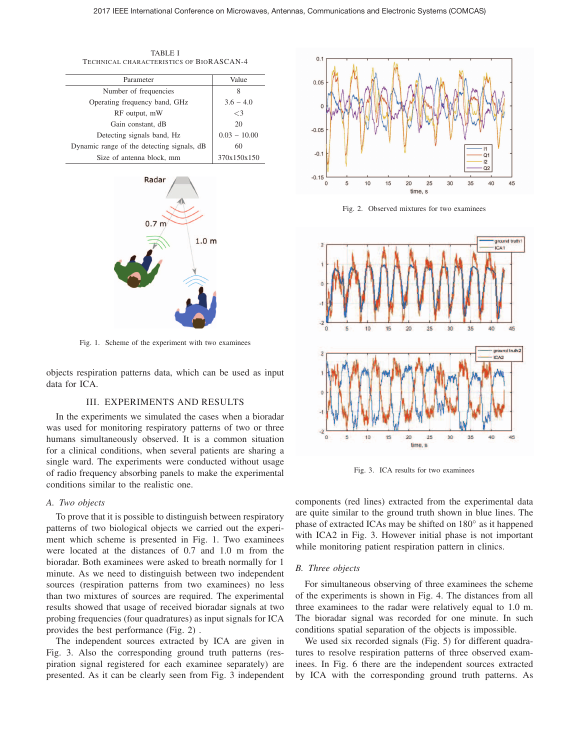TABLE I TECHNICAL CHARACTERISTICS OF BIORASCAN-4

| Parameter                                  | Value          |
|--------------------------------------------|----------------|
| Number of frequencies                      | 8              |
| Operating frequency band, GHz              | $3.6 - 4.0$    |
| RF output, mW                              | $\leq$ 3       |
| Gain constant, dB                          | 20             |
| Detecting signals band, Hz                 | $0.03 - 10.00$ |
| Dynamic range of the detecting signals, dB | 60             |
| Size of antenna block, mm                  | 370x150x150    |
|                                            |                |



Fig. 1. Scheme of the experiment with two examinees

objects respiration patterns data, which can be used as input data for ICA.

## III. EXPERIMENTS AND RESULTS

In the experiments we simulated the cases when a bioradar was used for monitoring respiratory patterns of two or three humans simultaneously observed. It is a common situation for a clinical conditions, when several patients are sharing a single ward. The experiments were conducted without usage of radio frequency absorbing panels to make the experimental conditions similar to the realistic one.

#### *A. Two objects*

To prove that it is possible to distinguish between respiratory patterns of two biological objects we carried out the experiment which scheme is presented in Fig. 1. Two examinees were located at the distances of 0.7 and 1.0 m from the bioradar. Both examinees were asked to breath normally for 1 minute. As we need to distinguish between two independent sources (respiration patterns from two examinees) no less than two mixtures of sources are required. The experimental results showed that usage of received bioradar signals at two probing frequencies (four quadratures) as input signals for ICA provides the best performance (Fig. 2) .

The independent sources extracted by ICA are given in Fig. 3. Also the corresponding ground truth patterns (respiration signal registered for each examinee separately) are presented. As it can be clearly seen from Fig. 3 independent



Fig. 2. Observed mixtures for two examinees



Fig. 3. ICA results for two examinees

components (red lines) extracted from the experimental data are quite similar to the ground truth shown in blue lines. The phase of extracted ICAs may be shifted on 180◦ as it happened with ICA2 in Fig. 3. However initial phase is not important while monitoring patient respiration pattern in clinics.

#### *B. Three objects*

For simultaneous observing of three examinees the scheme of the experiments is shown in Fig. 4. The distances from all three examinees to the radar were relatively equal to 1.0 m. The bioradar signal was recorded for one minute. In such conditions spatial separation of the objects is impossible.

We used six recorded signals (Fig. 5) for different quadratures to resolve respiration patterns of three observed examinees. In Fig. 6 there are the independent sources extracted by ICA with the corresponding ground truth patterns. As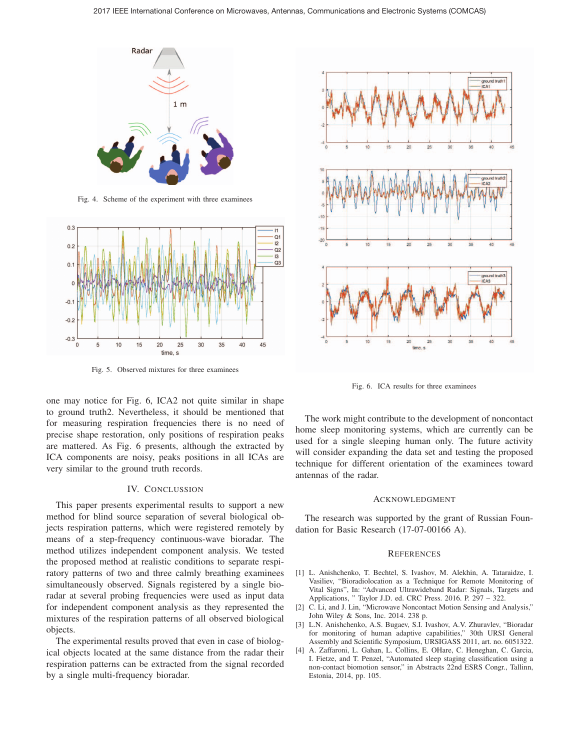

Fig. 4. Scheme of the experiment with three examinees



Fig. 5. Observed mixtures for three examinees

one may notice for Fig. 6, ICA2 not quite similar in shape to ground truth2. Nevertheless, it should be mentioned that for measuring respiration frequencies there is no need of precise shape restoration, only positions of respiration peaks are mattered. As Fig. 6 presents, although the extracted by ICA components are noisy, peaks positions in all ICAs are very similar to the ground truth records.

#### IV. CONCLUSSION

This paper presents experimental results to support a new method for blind source separation of several biological objects respiration patterns, which were registered remotely by means of a step-frequency continuous-wave bioradar. The method utilizes independent component analysis. We tested the proposed method at realistic conditions to separate respiratory patterns of two and three calmly breathing examinees simultaneously observed. Signals registered by a single bioradar at several probing frequencies were used as input data for independent component analysis as they represented the mixtures of the respiration patterns of all observed biological objects.

The experimental results proved that even in case of biological objects located at the same distance from the radar their respiration patterns can be extracted from the signal recorded by a single multi-frequency bioradar.



Fig. 6. ICA results for three examinees

The work might contribute to the development of noncontact home sleep monitoring systems, which are currently can be used for a single sleeping human only. The future activity will consider expanding the data set and testing the proposed technique for different orientation of the examinees toward antennas of the radar.

#### ACKNOWLEDGMENT

The research was supported by the grant of Russian Foundation for Basic Research (17-07-00166 A).

#### **REFERENCES**

- [1] L. Anishchenko, T. Bechtel, S. Ivashov, M. Alekhin, A. Tataraidze, I. Vasiliev, "Bioradiolocation as a Technique for Remote Monitoring of Vital Signs", In: "Advanced Ultrawideband Radar: Signals, Targets and Applications, " Taylor J.D. ed. CRC Press. 2016. P. 297 – 322.
- [2] C. Li, and J. Lin, "Microwave Noncontact Motion Sensing and Analysis," John Wiley & Sons, Inc. 2014. 238 p.
- [3] L.N. Anishchenko, A.S. Bugaev, S.I. Ivashov, A.V. Zhuravlev, "Bioradar for monitoring of human adaptive capabilities," 30th URSI General Assembly and Scientific Symposium, URSIGASS 2011, art. no. 6051322.
- [4] A. Zaffaroni, L. Gahan, L. Collins, E. OHare, C. Heneghan, C. Garcia, I. Fietze, and T. Penzel, "Automated sleep staging classification using a non-contact biomotion sensor," in Abstracts 22nd ESRS Congr., Tallinn, Estonia, 2014, pp. 105.